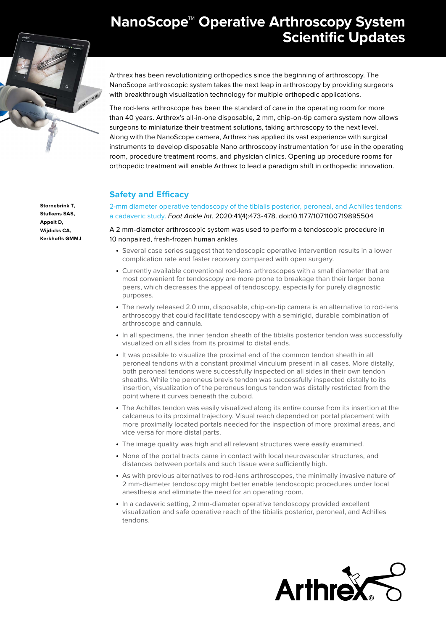# **NanoScope™ Operative Arthroscopy System Scientific Updates**



**Stornebrink T, Stufkens SAS, Appelt D, Wijdicks CA, Kerkhoffs GMMJ** Arthrex has been revolutionizing orthopedics since the beginning of arthroscopy. The NanoScope arthroscopic system takes the next leap in arthroscopy by providing surgeons with breakthrough visualization technology for multiple orthopedic applications.

The rod-lens arthroscope has been the standard of care in the operating room for more than 40 years. Arthrex's all-in-one disposable, 2 mm, chip-on-tip camera system now allows surgeons to miniaturize their treatment solutions, taking arthroscopy to the next level. Along with the NanoScope camera, Arthrex has applied its vast experience with surgical instruments to develop disposable Nano arthroscopy instrumentation for use in the operating room, procedure treatment rooms, and physician clinics. Opening up procedure rooms for orthopedic treatment will enable Arthrex to lead a paradigm shift in orthopedic innovation.

# **Safety and Efficacy**

[2-mm diameter operative tendoscopy of the tibialis posterior, peroneal, and Achilles tendons:](https://journals.sagepub.com/doi/full/10.1177/1071100719895504)  [a cadaveric study.](https://journals.sagepub.com/doi/full/10.1177/1071100719895504) Foot Ankle Int. 2020;41(4):473-478. doi:10.1177/1071100719895504

A 2 mm-diameter arthroscopic system was used to perform a tendoscopic procedure in 10 nonpaired, fresh-frozen human ankles

- Several case series suggest that tendoscopic operative intervention results in a lower complication rate and faster recovery compared with open surgery.
- Currently available conventional rod-lens arthroscopes with a small diameter that are most convenient for tendoscopy are more prone to breakage than their larger bone peers, which decreases the appeal of tendoscopy, especially for purely diagnostic purposes.
- The newly released 2.0 mm, disposable, chip-on-tip camera is an alternative to rod-lens arthroscopy that could facilitate tendoscopy with a semirigid, durable combination of arthroscope and cannula.
- In all specimens, the inner tendon sheath of the tibialis posterior tendon was successfully visualized on all sides from its proximal to distal ends.
- It was possible to visualize the proximal end of the common tendon sheath in all peroneal tendons with a constant proximal vinculum present in all cases. More distally, both peroneal tendons were successfully inspected on all sides in their own tendon sheaths. While the peroneus brevis tendon was successfully inspected distally to its insertion, visualization of the peroneus longus tendon was distally restricted from the point where it curves beneath the cuboid.
- The Achilles tendon was easily visualized along its entire course from its insertion at the calcaneus to its proximal trajectory. Visual reach depended on portal placement with more proximally located portals needed for the inspection of more proximal areas, and vice versa for more distal parts.
- The image quality was high and all relevant structures were easily examined.
- None of the portal tracts came in contact with local neurovascular structures, and distances between portals and such tissue were sufficiently high.
- As with previous alternatives to rod-lens arthroscopes, the minimally invasive nature of 2 mm-diameter tendoscopy might better enable tendoscopic procedures under local anesthesia and eliminate the need for an operating room.
- In a cadaveric setting, 2 mm-diameter operative tendoscopy provided excellent visualization and safe operative reach of the tibialis posterior, peroneal, and Achilles tendons.

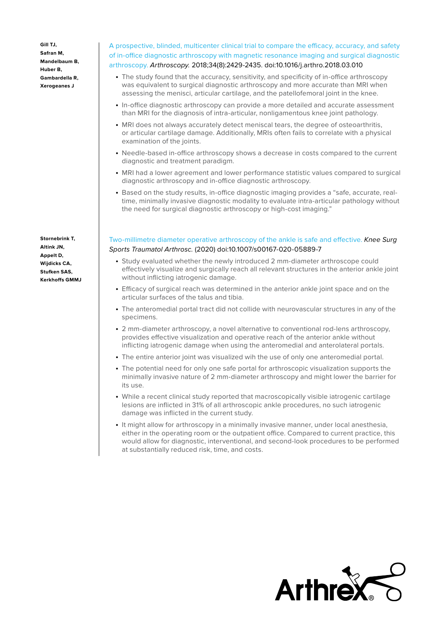**Gill TJ, Safran M, Mandelbaum B, Huber B, Gambardella R, Xerogeanes J**

**Stornebrink T, Altink JN, Appelt D, Wijdicks CA, Stufken SAS, Kerkhoffs GMMJ**

## [A prospective, blinded, multicenter clinical trial to compare the efficacy, accuracy, and safety](https://pubmed.ncbi.nlm.nih.gov/29804955/)  [of in-office diagnostic arthroscopy with magnetic resonance imaging and surgical diagnostic](https://pubmed.ncbi.nlm.nih.gov/29804955/)  [arthroscopy.](https://pubmed.ncbi.nlm.nih.gov/29804955/) Arthroscopy. 2018;34(8):2429-2435. doi:10.1016/j.arthro.2018.03.010

- The study found that the accuracy, sensitivity, and specificity of in-office arthroscopy was equivalent to surgical diagnostic arthroscopy and more accurate than MRI when assessing the menisci, articular cartilage, and the patellofemoral joint in the knee.
- In-office diagnostic arthroscopy can provide a more detailed and accurate assessment than MRI for the diagnosis of intra-articular, nonligamentous knee joint pathology.
- MRI does not always accurately detect meniscal tears, the degree of osteoarthritis, or articular cartilage damage. Additionally, MRIs often fails to correlate with a physical examination of the joints.
- Needle-based in-office arthroscopy shows a decrease in costs compared to the current diagnostic and treatment paradigm.
- MRI had a lower agreement and lower performance statistic values compared to surgical diagnostic arthroscopy and in-office diagnostic arthroscopy.
- Based on the study results, in-office diagnostic imaging provides a "safe, accurate, realtime, minimally invasive diagnostic modality to evaluate intra-articular pathology without the need for surgical diagnostic arthroscopy or high-cost imaging."

#### [Two-millimetre diameter operative arthroscopy of the ankle is safe and effective.](https://link.springer.com/article/10.1007/s00167-020-05889-7) Knee Surg Sports Traumatol Arthrosc. (2020) doi:10.1007/s00167-020-05889-7

- Study evaluated whether the newly introduced 2 mm-diameter arthroscope could effectively visualize and surgically reach all relevant structures in the anterior ankle joint without inflicting iatrogenic damage.
- Efficacy of surgical reach was determined in the anterior ankle joint space and on the articular surfaces of the talus and tibia.
- The anteromedial portal tract did not collide with neurovascular structures in any of the specimens.
- 2 mm-diameter arthroscopy, a novel alternative to conventional rod-lens arthroscopy, provides effective visualization and operative reach of the anterior ankle without inflicting iatrogenic damage when using the anteromedial and anterolateral portals.
- The entire anterior joint was visualized wih the use of only one anteromedial portal.
- The potential need for only one safe portal for arthroscopic visualization supports the minimally invasive nature of 2 mm-diameter arthroscopy and might lower the barrier for its use.
- While a recent clinical study reported that macroscopically visible iatrogenic cartilage lesions are inflicted in 31% of all arthroscopic ankle procedures, no such iatrogenic damage was inflicted in the current study.
- It might allow for arthroscopy in a minimally invasive manner, under local anesthesia, either in the operating room or the outpatient office. Compared to current practice, this would allow for diagnostic, interventional, and second-look procedures to be performed at substantially reduced risk, time, and costs.

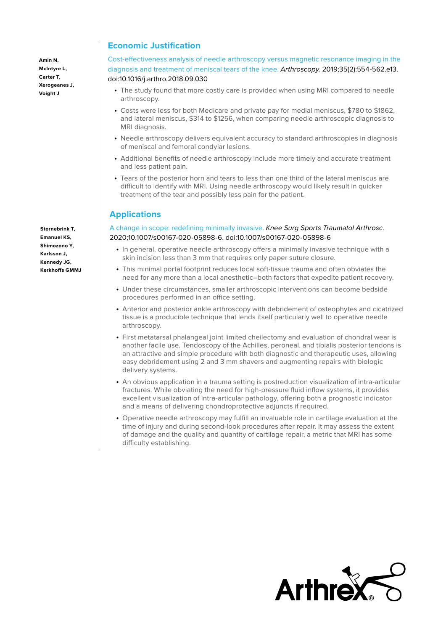**Amin N, McIntyre L, Carter T, Xerogeanes J, Voight J**

**Stornebrink T, Emanuel KS, Shimozono Y, Karlsson J, Kennedy JG, Kerkhoffs GMMJ**

## **Economic Justification**

[Cost-effectiveness analysis of needle arthroscopy versus magnetic resonance imaging in the](https://pubmed.ncbi.nlm.nih.gov/30712631/)  [diagnosis and treatment of meniscal tears of the knee.](https://pubmed.ncbi.nlm.nih.gov/30712631/) Arthroscopy. 2019;35(2):554-562.e13. doi:10.1016/j.arthro.2018.09.030

- The study found that more costly care is provided when using MRI compared to needle arthroscopy.
- Costs were less for both Medicare and private pay for medial meniscus, \$780 to \$1862, and lateral meniscus, \$314 to \$1256, when comparing needle arthroscopic diagnosis to MRI diagnosis.
- Needle arthroscopy delivers equivalent accuracy to standard arthroscopies in diagnosis of meniscal and femoral condylar lesions.
- Additional benefits of needle arthroscopy include more timely and accurate treatment and less patient pain.
- Tears of the posterior horn and tears to less than one third of the lateral meniscus are difficult to identify with MRI. Using needle arthroscopy would likely result in quicker treatment of the tear and possibly less pain for the patient.

## **Applications**

#### [A change in scope: redefining minimally invasive.](https://pubmed.ncbi.nlm.nih.gov/32047997/) Knee Surg Sports Traumatol Arthrosc. 2020;10.1007/s00167-020-05898-6. doi:10.1007/s00167-020-05898-6

- In general, operative needle arthroscopy offers a minimally invasive technique with a skin incision less than 3 mm that requires only paper suture closure.
- This minimal portal footprint reduces local soft-tissue trauma and often obviates the need for any more than a local anesthetic–both factors that expedite patient recovery.
- Under these circumstances, smaller arthroscopic interventions can become bedside procedures performed in an office setting.
- Anterior and posterior ankle arthroscopy with debridement of osteophytes and cicatrized tissue is a producible technique that lends itself particularly well to operative needle arthroscopy.
- First metatarsal phalangeal joint limited cheilectomy and evaluation of chondral wear is another facile use. Tendoscopy of the Achilles, peroneal, and tibialis posterior tendons is an attractive and simple procedure with both diagnostic and therapeutic uses, allowing easy debridement using 2 and 3 mm shavers and augmenting repairs with biologic delivery systems.
- An obvious application in a trauma setting is postreduction visualization of intra-articular fractures. While obviating the need for high-pressure fluid inflow systems, it provides excellent visualization of intra-articular pathology, offering both a prognostic indicator and a means of delivering chondroprotective adjuncts if required.
- Operative needle arthroscopy may fulfill an invaluable role in cartilage evaluation at the time of injury and during second-look procedures after repair. It may assess the extent of damage and the quality and quantity of cartilage repair, a metric that MRI has some difficulty establishing.